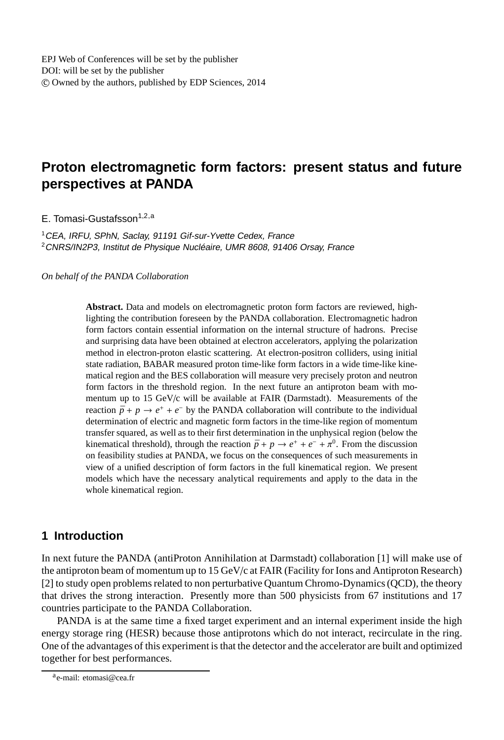# **Proton electromagnetic form factors: present status and future perspectives at PANDA**

E. Tomasi-Gustafsson<sup>1,2,a</sup>

<sup>1</sup>CEA, IRFU, SPhN, Saclay, <sup>91191</sup> Gif-sur-Yvette Cedex, France <sup>2</sup> CNRS/IN2P3, Institut de Physique Nucléaire, UMR 8608, 91406 Orsay, France

*On behalf of the PANDA Collaboration*

**Abstract.** Data and models on electromagnetic proton form factors are reviewed, highlighting the contribution foreseen by the PANDA collaboration. Electromagnetic hadron form factors contain essential information on the internal structure of hadrons. Precise and surprising data have been obtained at electron accelerators, applying the polarization method in electron-proton elastic scattering. At electron-positron colliders, using initial state radiation, BABAR measured proton time-like form factors in a wide time-like kinematical region and the BES collaboration will measure very precisely proton and neutron form factors in the threshold region. In the next future an antiproton beam with momentum up to 15 GeV/c will be available at FAIR (Darmstadt). Measurements of the reaction  $\bar{p} + p \rightarrow e^+ + e^-$  by the PANDA collaboration will contribute to the individual determination of electric and magnetic form factors in the time-like region of momentum transfer squared, as well as to their first determination in the unphysical region (below the kinematical threshold), through the reaction  $\bar{p} + p \rightarrow e^+ + e^- + \pi^0$ . From the discussion on feasibility studies at PANDA, we focus on the consequences of such measurements in view of a unified description of form factors in the full kinematical region. We present models which have the necessary analytical requirements and apply to the data in the whole kinematical region.

## **1 Introduction**

In next future the PANDA (antiProton Annihilation at Darmstadt) collaboration [1] will make use of the antiproton beam of momentum up to 15 GeV/c at FAIR (Facility for Ions and Antiproton Research) [2] to study open problems related to non perturbative Quantum Chromo-Dynamics (QCD), the theory that drives the strong interaction. Presently more than 500 physicists from 67 institutions and 17 countries participate to the PANDA Collaboration.

PANDA is at the same time a fixed target experiment and an internal experiment inside the high energy storage ring (HESR) because those antiprotons which do not interact, recirculate in the ring. One of the advantages of this experiment is that the detector and the accelerator are built and optimized together for best performances.

a<sub>e-mail: etomasi@cea.fr</sub>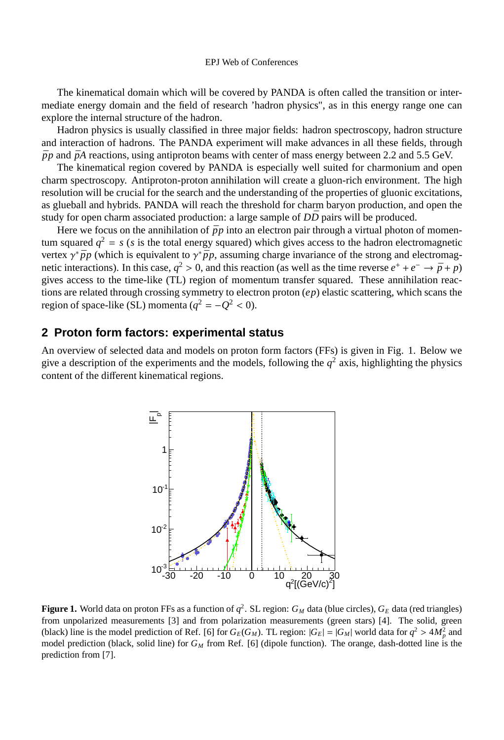The kinematical domain which will be covered by PANDA is often called the transition or intermediate energy domain and the field of research 'hadron physics", as in this energy range one can explore the internal structure of the hadron.

Hadron physics is usually classified in three major fields: hadron spectroscopy, hadron structure and interaction of hadrons. The PANDA experiment will make advances in all these fields, through  $\bar{p}p$  and  $\bar{p}A$  reactions, using antiproton beams with center of mass energy between 2.2 and 5.5 GeV.

The kinematical region covered by PANDA is especially well suited for charmonium and open charm spectroscopy. Antiproton-proton annihilation will create a gluon-rich environment. The high resolution will be crucial for the search and the understanding of the properties of gluonic excitations, as glueball and hybrids. PANDA will reach the threshold for charm baryon production, and open the study for open charm associated production: a large sample of  $D\bar{D}$  pairs will be produced.

Here we focus on the annihilation of  $\bar{p}p$  into an electron pair through a virtual photon of momentum squared  $q^2 = s$  (*s* is the total energy squared) which gives access to the hadron electromagnetic vertex  $\gamma^* \bar{p} p$  (which is equivalent to  $\gamma^* \bar{p} p$ , assuming charge invariance of the strong and electromagnetic interactions). In this case,  $q^2 > 0$ , and this reaction (as well as the time reverse  $e^+ + e^- \to \bar{p} + p$ ) gives access to the time-like (TL) region of momentum transfer squared. These annihilation reactions are related through crossing symmetry to electron proton (*ep*) elastic scattering, which scans the region of space-like (SL) momenta ( $q^2 = -Q^2 < 0$ ).

## **2 Proton form factors: experimental status**

An overview of selected data and models on proton form factors (FFs) is given in Fig. 1. Below we give a description of the experiments and the models, following the  $q^2$  axis, highlighting the physics content of the different kinematical regions.



**Figure 1.** World data on proton FFs as a function of  $q^2$ . SL region:  $G_M$  data (blue circles),  $G_E$  data (red triangles) from unpolarized measurements [3] and from polarization measurements (green stars) [4]. The solid, green (black) line is the model prediction of Ref. [6] for  $G_E(G_M)$ . TL region:  $|G_E| = |G_M|$  world data for  $q^2 > 4M_p^2$  and model prediction (black, solid line) for *G<sup>M</sup>* from Ref. [6] (dipole function). The orange, dash-dotted line is the prediction from [7].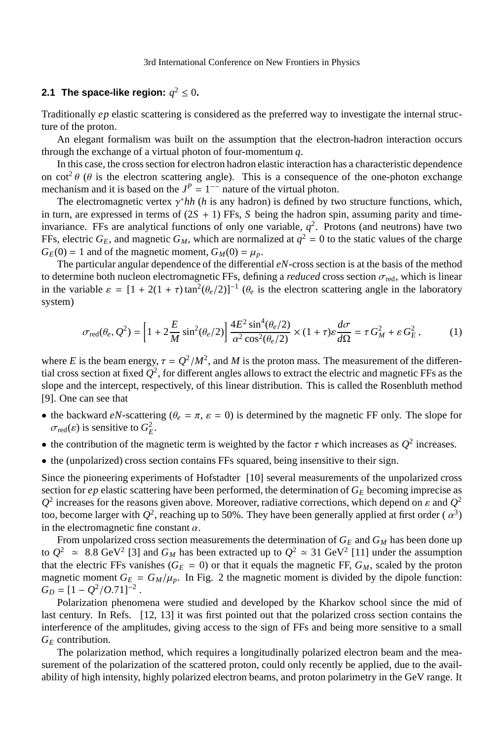3rd International Conference on New Frontiers in Physics

## **2.1 The space-like region:**  $q^2 \leq 0$ **.**

Traditionally *ep* elastic scattering is considered as the preferred way to investigate the internal structure of the proton.

An elegant formalism was built on the assumption that the electron-hadron interaction occurs through the exchange of a virtual photon of four-momentum *q*.

In this case, the cross section for electron hadron elastic interaction has a characteristic dependence on cot<sup>2</sup>  $\theta$  ( $\theta$  is the electron scattering angle). This is a consequence of the one-photon exchange mechanism and it is based on the  $J^P = 1^{-1}$  nature of the virtual photon.

The electromagnetic vertex  $\gamma^* h h$  (*h* is any hadron) is defined by two structure functions, which, in turn, are expressed in terms of  $(2S + 1)$  FFs, *S* being the hadron spin, assuming parity and timeinvariance. FFs are analytical functions of only one variable,  $q^2$ . Protons (and neutrons) have two FFs, electric  $G_E$ , and magnetic  $G_M$ , which are normalized at  $q^2 = 0$  to the static values of the charge  $G_E(0) = 1$  and of the magnetic moment,  $G_M(0) = \mu_p$ .

The particular angular dependence of the differential *eN*-cross section is at the basis of the method to determine both nucleon electromagnetic FFs, defining a *reduced* cross section  $\sigma_{\text{red}}$ , which is linear in the variable  $\varepsilon = [1 + 2(1 + \tau) \tan^2(\theta_e/2)]^{-1}$  ( $\theta_e$  is the electron scattering angle in the laboratory system)

$$
\sigma_{\text{red}}(\theta_e, Q^2) = \left[1 + 2\frac{E}{M}\sin^2(\theta_e/2)\right] \frac{4E^2\sin^4(\theta_e/2)}{\alpha^2\cos^2(\theta_e/2)} \times (1 + \tau)\varepsilon \frac{d\sigma}{d\Omega} = \tau G_M^2 + \varepsilon G_E^2, \tag{1}
$$

where *E* is the beam energy,  $\tau = Q^2/M^2$ , and *M* is the proton mass. The measurement of the differential cross section at fixed  $Q^2$ , for different angles allows to extract the electric and magnetic FFs as the slope and the intercept, respectively, of this linear distribution. This is called the Rosenbluth method [9]. One can see that

- the backward  $eN$ -scattering ( $\theta_e = \pi$ ,  $\varepsilon = 0$ ) is determined by the magnetic FF only. The slope for  $\sigma_{\text{red}}(\varepsilon)$  is sensitive to  $G_E^2$ .
- the contribution of the magnetic term is weighted by the factor  $\tau$  which increases as  $Q^2$  increases.
- the (unpolarized) cross section contains FFs squared, being insensitive to their sign.

Since the pioneering experiments of Hofstadter [10] several measurements of the unpolarized cross section for  $ep$  elastic scattering have been performed, the determination of  $G_E$  becoming imprecise as  $Q^2$  increases for the reasons given above. Moreover, radiative corrections, which depend on  $\varepsilon$  and  $Q^2$ too, become larger with  $Q^2$ , reaching up to 50%. They have been generally applied at first order ( $\alpha^3$ ) in the electromagnetic fine constant  $\alpha$ .

From unpolarized cross section measurements the determination of  $G_E$  and  $G_M$  has been done up to  $Q^2 \approx 8.8 \text{ GeV}^2$  [3] and  $G_M$  has been extracted up to  $Q^2 \approx 31 \text{ GeV}^2$  [11] under the assumption that the electric FFs vanishes ( $G_E = 0$ ) or that it equals the magnetic FF,  $G_M$ , scaled by the proton magnetic moment  $G_E = G_M/\mu_p$ . In Fig. 2 the magnetic moment is divided by the dipole function:  $G_D = [1 - Q^2 / O.71]^{-2}$ .

Polarization phenomena were studied and developed by the Kharkov school since the mid of last century. In Refs. [12, 13] it was first pointed out that the polarized cross section contains the interference of the amplitudes, giving access to the sign of FFs and being more sensitive to a small *G<sup>E</sup>* contribution.

The polarization method, which requires a longitudinally polarized electron beam and the measurement of the polarization of the scattered proton, could only recently be applied, due to the availability of high intensity, highly polarized electron beams, and proton polarimetry in the GeV range. It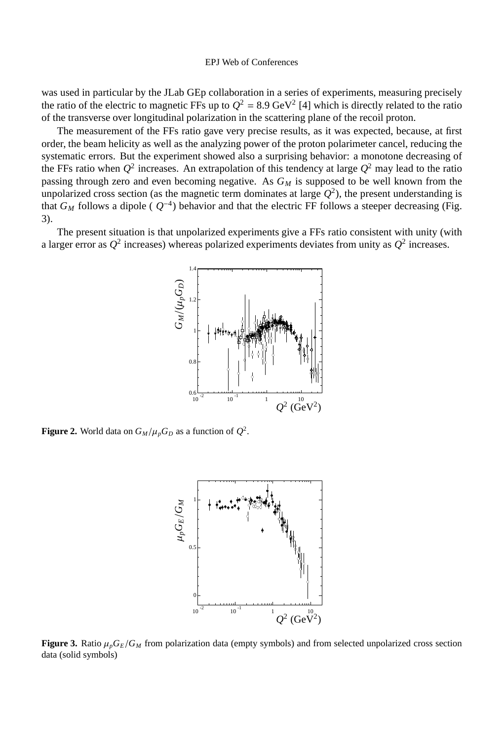was used in particular by the JLab GEp collaboration in a series of experiments, measuring precisely the ratio of the electric to magnetic FFs up to  $Q^2 = 8.9$  GeV<sup>2</sup> [4] which is directly related to the ratio of the transverse over longitudinal polarization in the scattering plane of the recoil proton.

The measurement of the FFs ratio gave very precise results, as it was expected, because, at first order, the beam helicity as well as the analyzing power of the proton polarimeter cancel, reducing the systematic errors. But the experiment showed also a surprising behavior: a monotone decreasing of the FFs ratio when  $Q^2$  increases. An extrapolation of this tendency at large  $Q^2$  may lead to the ratio passing through zero and even becoming negative. As *G<sup>M</sup>* is supposed to be well known from the unpolarized cross section (as the magnetic term dominates at large  $Q^2$ ), the present understanding is that  $G_M$  follows a dipole ( $Q^{-4}$ ) behavior and that the electric FF follows a steeper decreasing (Fig. 3).

The present situation is that unpolarized experiments give a FFs ratio consistent with unity (with a larger error as  $Q^2$  increases) whereas polarized experiments deviates from unity as  $Q^2$  increases.



**Figure 2.** World data on  $G_M/\mu_p G_D$  as a function of  $Q^2$ .



**Figure 3.** Ratio  $\mu_p G_E/G_M$  from polarization data (empty symbols) and from selected unpolarized cross section data (solid symbols)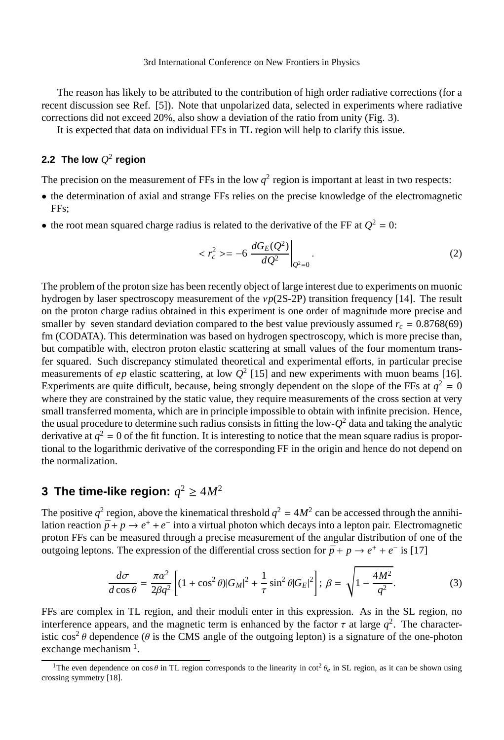3rd International Conference on New Frontiers in Physics

The reason has likely to be attributed to the contribution of high order radiative corrections (for a recent discussion see Ref. [5]). Note that unpolarized data, selected in experiments where radiative corrections did not exceed 20%, also show a deviation of the ratio from unity (Fig. 3).

It is expected that data on individual FFs in TL region will help to clarify this issue.

## 2.2 The low  $Q^2$  region

The precision on the measurement of FFs in the low  $q^2$  region is important at least in two respects:

- the determination of axial and strange FFs relies on the precise knowledge of the electromagnetic FFs;
- the root mean squared charge radius is related to the derivative of the FF at  $Q^2 = 0$ :

$$
\langle r_c^2 \rangle = -6 \left. \frac{d G_E(Q^2)}{d Q^2} \right|_{Q^2 = 0} . \tag{2}
$$

The problem of the proton size has been recently object of large interest due to experiments on muonic hydrogen by laser spectroscopy measurement of the ν*p*(2S-2P) transition frequency [14]. The result on the proton charge radius obtained in this experiment is one order of magnitude more precise and smaller by seven standard deviation compared to the best value previously assumed  $r_c = 0.8768(69)$ fm (CODATA). This determination was based on hydrogen spectroscopy, which is more precise than, but compatible with, electron proton elastic scattering at small values of the four momentum transfer squared. Such discrepancy stimulated theoretical and experimental efforts, in particular precise measurements of  $ep$  elastic scattering, at low  $Q^2$  [15] and new experiments with muon beams [16]. Experiments are quite difficult, because, being strongly dependent on the slope of the FFs at  $q^2 = 0$ where they are constrained by the static value, they require measurements of the cross section at very small transferred momenta, which are in principle impossible to obtain with infinite precision. Hence, the usual procedure to determine such radius consists in fitting the low-*Q* <sup>2</sup> data and taking the analytic derivative at  $q^2 = 0$  of the fit function. It is interesting to notice that the mean square radius is proportional to the logarithmic derivative of the corresponding FF in the origin and hence do not depend on the normalization.

## **3** The time-like region:  $q^2 \ge 4M^2$

The positive  $q^2$  region, above the kinematical threshold  $q^2 = 4M^2$  can be accessed through the annihilation reaction  $\bar{p} + p \rightarrow e^+ + e^-$  into a virtual photon which decays into a lepton pair. Electromagnetic proton FFs can be measured through a precise measurement of the angular distribution of one of the outgoing leptons. The expression of the differential cross section for  $\bar{p} + p \rightarrow e^+ + e^-$  is [17]

$$
\frac{d\sigma}{d\cos\theta} = \frac{\pi\alpha^2}{2\beta q^2} \left[ (1 + \cos^2\theta)|G_M|^2 + \frac{1}{\tau}\sin^2\theta|G_E|^2 \right]; \ \beta = \sqrt{1 - \frac{4M^2}{q^2}}.\tag{3}
$$

FFs are complex in TL region, and their moduli enter in this expression. As in the SL region, no interference appears, and the magnetic term is enhanced by the factor  $\tau$  at large  $q^2$ . The characteristic cos<sup>2</sup>  $\theta$  dependence ( $\theta$  is the CMS angle of the outgoing lepton) is a signature of the one-photon exchange mechanism<sup>1</sup>.

<sup>&</sup>lt;sup>1</sup>The even dependence on  $\cos \theta$  in TL region corresponds to the linearity in  $\cot^2 \theta_e$  in SL region, as it can be shown using crossing symmetry [18].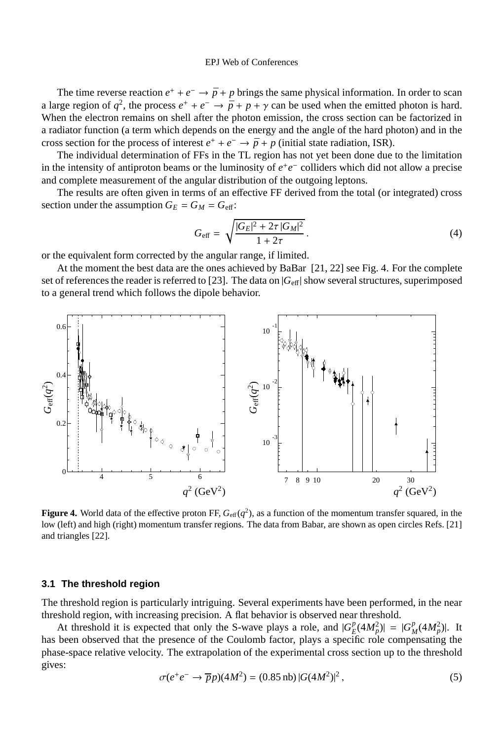The time reverse reaction  $e^+ + e^- \rightarrow \bar{p} + p$  brings the same physical information. In order to scan a large region of  $q^2$ , the process  $e^+ + e^- \rightarrow \bar{p} + p + \gamma$  can be used when the emitted photon is hard. When the electron remains on shell after the photon emission, the cross section can be factorized in a radiator function (a term which depends on the energy and the angle of the hard photon) and in the cross section for the process of interest  $e^+ + e^- \rightarrow \bar{p} + p$  (initial state radiation, ISR).

The individual determination of FFs in the TL region has not yet been done due to the limitation in the intensity of antiproton beams or the luminosity of  $e^+e^-$  colliders which did not allow a precise and complete measurement of the angular distribution of the outgoing leptons.

The results are often given in terms of an effective FF derived from the total (or integrated) cross section under the assumption  $G_E = G_M = G_{\text{eff}}$ :

$$
G_{\text{eff}} = \sqrt{\frac{|G_E|^2 + 2\tau |G_M|^2}{1 + 2\tau}}.
$$
\n(4)

or the equivalent form corrected by the angular range, if limited.

At the moment the best data are the ones achieved by BaBar [21, 22] see Fig. 4. For the complete set of references the reader is referred to [23]. The data on |*G*eff| show several structures, superimposed to a general trend which follows the dipole behavior.



**Figure 4.** World data of the effective proton FF,  $G_{\text{eff}}(q^2)$ , as a function of the momentum transfer squared, in the low (left) and high (right) momentum transfer regions. The data from Babar, are shown as open circles Refs. [21] and triangles [22].

#### **3.1 The threshold region**

The threshold region is particularly intriguing. Several experiments have been performed, in the near threshold region, with increasing precision. A flat behavior is observed near threshold.

At threshold it is expected that only the S-wave plays a role, and  $|G_F^p|$  $|E(P_A | H_p^2)| = |G_p^p|$  $_{M}^{p}(4M_{p}^{2})$ |. It has been observed that the presence of the Coulomb factor, plays a specific role compensating the phase-space relative velocity. The extrapolation of the experimental cross section up to the threshold gives:

$$
\sigma(e^+e^- \to \overline{p}p)(4M^2) = (0.85 \,\text{nb}) \, |G(4M^2)|^2 \,,\tag{5}
$$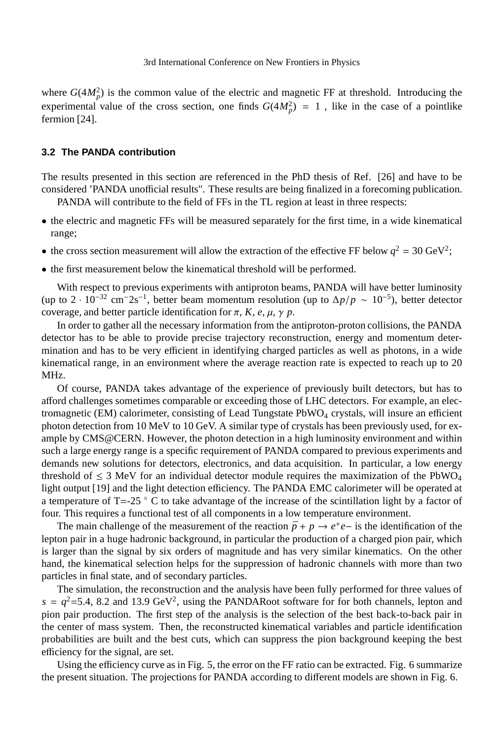where  $G(4M_p^2)$  is the common value of the electric and magnetic FF at threshold. Introducing the experimental value of the cross section, one finds  $G(4M_p^2) = 1$ , like in the case of a pointlike fermion [24].

#### **3.2 The PANDA contribution**

The results presented in this section are referenced in the PhD thesis of Ref. [26] and have to be considered 'PANDA unofficial results". These results are being finalized in a forecoming publication. PANDA will contribute to the field of FFs in the TL region at least in three respects:

- the electric and magnetic FFs will be measured separately for the first time, in a wide kinematical range;
- the cross section measurement will allow the extraction of the effective FF below  $q^2 = 30 \text{ GeV}^2$ ;
- the first measurement below the kinematical threshold will be performed.

With respect to previous experiments with antiproton beams, PANDA will have better luminosity (up to 2 · 10<sup>-32</sup> cm<sup>-</sup>2s<sup>-1</sup>, better beam momentum resolution (up to  $\Delta p/p \sim 10^{-5}$ ), better detector coverage, and better particle identification for  $\pi$ ,  $K$ ,  $e$ ,  $\mu$ ,  $\gamma$   $p$ .

In order to gather all the necessary information from the antiproton-proton collisions, the PANDA detector has to be able to provide precise trajectory reconstruction, energy and momentum determination and has to be very efficient in identifying charged particles as well as photons, in a wide kinematical range, in an environment where the average reaction rate is expected to reach up to 20 MHz.

Of course, PANDA takes advantage of the experience of previously built detectors, but has to afford challenges sometimes comparable or exceeding those of LHC detectors. For example, an electromagnetic (EM) calorimeter, consisting of Lead Tungstate  $PbWO<sub>4</sub>$  crystals, will insure an efficient photon detection from 10 MeV to 10 GeV. A similar type of crystals has been previously used, for example by CMS@CERN. However, the photon detection in a high luminosity environment and within such a large energy range is a specific requirement of PANDA compared to previous experiments and demands new solutions for detectors, electronics, and data acquisition. In particular, a low energy threshold of  $\leq$  3 MeV for an individual detector module requires the maximization of the PbWO<sub>4</sub> light output [19] and the light detection efficiency. The PANDA EMC calorimeter will be operated at a temperature of T=-25  $\degree$  C to take advantage of the increase of the scintillation light by a factor of four. This requires a functional test of all components in a low temperature environment.

The main challenge of the measurement of the reaction  $\bar{p} + p \rightarrow e^+e^-$  is the identification of the lepton pair in a huge hadronic background, in particular the production of a charged pion pair, which is larger than the signal by six orders of magnitude and has very similar kinematics. On the other hand, the kinematical selection helps for the suppression of hadronic channels with more than two particles in final state, and of secondary particles.

The simulation, the reconstruction and the analysis have been fully performed for three values of  $s = q^2 = 5.4$ , 8.2 and 13.9 GeV<sup>2</sup>, using the PANDARoot software for for both channels, lepton and pion pair production. The first step of the analysis is the selection of the best back-to-back pair in the center of mass system. Then, the reconstructed kinematical variables and particle identification probabilities are built and the best cuts, which can suppress the pion background keeping the best efficiency for the signal, are set.

Using the efficiency curve as in Fig. 5, the error on the FF ratio can be extracted. Fig. 6 summarize the present situation. The projections for PANDA according to different models are shown in Fig. 6.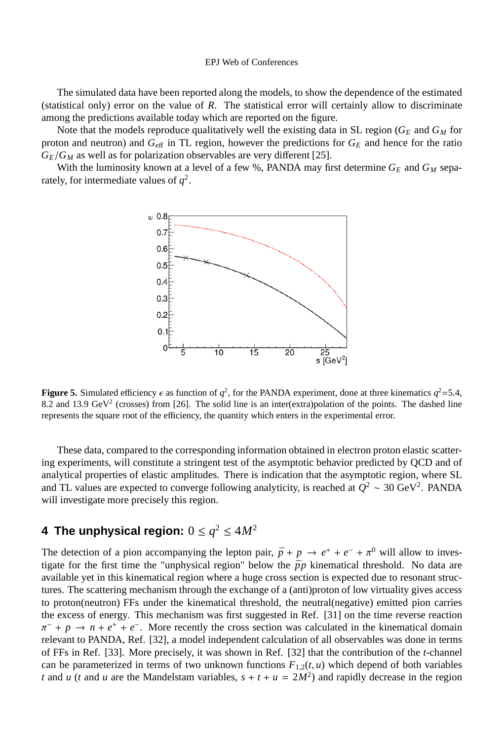The simulated data have been reported along the models, to show the dependence of the estimated (statistical only) error on the value of *R*. The statistical error will certainly allow to discriminate among the predictions available today which are reported on the figure.

Note that the models reproduce qualitatively well the existing data in SL region ( $G_E$  and  $G_M$  for proton and neutron) and  $G_{\text{eff}}$  in TL region, however the predictions for  $G_E$  and hence for the ratio  $G_E/G_M$  as well as for polarization observables are very different [25].

With the luminosity known at a level of a few %, PANDA may first determine  $G_E$  and  $G_M$  separately, for intermediate values of  $q^2$ .



**Figure 5.** Simulated efficiency  $\epsilon$  as function of  $q^2$ , for the PANDA experiment, done at three kinematics  $q^2 = 5.4$ , 8.2 and 13.9 GeV<sup>2</sup> (crosses) from [26]. The solid line is an inter(extra)polation of the points. The dashed line represents the square root of the efficiency, the quantity which enters in the experimental error.

These data, compared to the corresponding information obtained in electron proton elastic scattering experiments, will constitute a stringent test of the asymptotic behavior predicted by QCD and of analytical properties of elastic amplitudes. There is indication that the asymptotic region, where SL and TL values are expected to converge following analyticity, is reached at  $Q^2 \sim 30 \text{ GeV}^2$ . PANDA will investigate more precisely this region.

## **4 The unphysical region:**  $0 \leq q^2 \leq 4M^2$

The detection of a pion accompanying the lepton pair,  $\bar{p} + p \rightarrow e^+ + e^- + \pi^0$  will allow to investigate for the first time the "unphysical region" below the  $\bar{p}p$  kinematical threshold. No data are available yet in this kinematical region where a huge cross section is expected due to resonant structures. The scattering mechanism through the exchange of a (anti)proton of low virtuality gives access to proton(neutron) FFs under the kinematical threshold, the neutral(negative) emitted pion carries the excess of energy. This mechanism was first suggested in Ref. [31] on the time reverse reaction  $\pi^-$  +  $p \to n + e^+ + e^-$ . More recently the cross section was calculated in the kinematical domain relevant to PANDA, Ref. [32], a model independent calculation of all observables was done in terms of FFs in Ref. [33]. More precisely, it was shown in Ref. [32] that the contribution of the *t*-channel can be parameterized in terms of two unknown functions  $F_{1,2}(t, u)$  which depend of both variables *t* and *u* (*t* and *u* are the Mandelstam variables,  $s + t + u = 2M^2$ ) and rapidly decrease in the region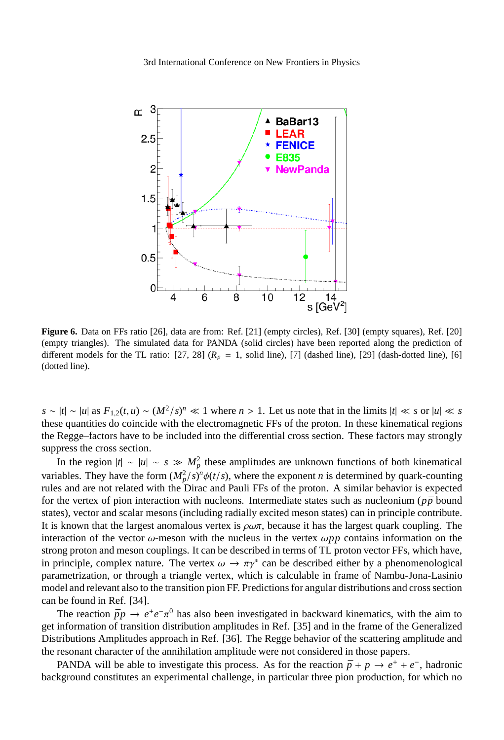3rd International Conference on New Frontiers in Physics



**Figure 6.** Data on FFs ratio [26], data are from: Ref. [21] (empty circles), Ref. [30] (empty squares), Ref. [20] (empty triangles). The simulated data for PANDA (solid circles) have been reported along the prediction of different models for the TL ratio:  $[27, 28]$  ( $R_p = 1$ , solid line),  $[7]$  (dashed line),  $[29]$  (dash-dotted line),  $[6]$ (dotted line).

 $s \sim |t| \sim |u|$  as  $F_{1,2}(t, u) \sim (M^2/s)^n \ll 1$  where  $n > 1$ . Let us note that in the limits  $|t| \ll s$  or  $|u| \ll s$ these quantities do coincide with the electromagnetic FFs of the proton. In these kinematical regions the Regge–factors have to be included into the differential cross section. These factors may strongly suppress the cross section.

In the region  $|t| \sim |u| \sim s \gg M_p^2$  these amplitudes are unknown functions of both kinematical variables. They have the form  $(M_p^2/s)^n \phi(t/s)$ , where the exponent *n* is determined by quark-counting rules and are not related with the Dirac and Pauli FFs of the proton. A similar behavior is expected for the vertex of pion interaction with nucleons. Intermediate states such as nucleonium ( $p\bar{p}$  bound states), vector and scalar mesons (including radially excited meson states) can in principle contribute. It is known that the largest anomalous vertex is  $\rho\omega\pi$ , because it has the largest quark coupling. The interaction of the vector  $\omega$ -meson with the nucleus in the vertex  $\omega pp$  contains information on the strong proton and meson couplings. It can be described in terms of TL proton vector FFs, which have, in principle, complex nature. The vertex  $\omega \to \pi \gamma^*$  can be described either by a phenomenological parametrization, or through a triangle vertex, which is calculable in frame of Nambu-Jona-Lasinio model and relevant also to the transition pion FF. Predictions for angular distributions and cross section can be found in Ref. [34].

The reaction  $\bar{p}p \to e^+e^-\pi^0$  has also been investigated in backward kinematics, with the aim to get information of transition distribution amplitudes in Ref. [35] and in the frame of the Generalized Distributions Amplitudes approach in Ref. [36]. The Regge behavior of the scattering amplitude and the resonant character of the annihilation amplitude were not considered in those papers.

PANDA will be able to investigate this process. As for the reaction  $\bar{p} + p \rightarrow e^+ + e^-$ , hadronic background constitutes an experimental challenge, in particular three pion production, for which no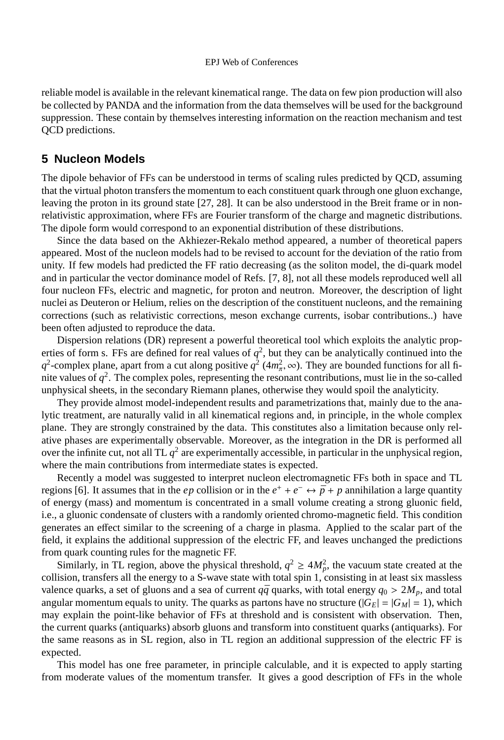reliable model is available in the relevant kinematical range. The data on few pion production will also be collected by PANDA and the information from the data themselves will be used for the background suppression. These contain by themselves interesting information on the reaction mechanism and test QCD predictions.

### **5 Nucleon Models**

The dipole behavior of FFs can be understood in terms of scaling rules predicted by QCD, assuming that the virtual photon transfers the momentum to each constituent quark through one gluon exchange, leaving the proton in its ground state [27, 28]. It can be also understood in the Breit frame or in nonrelativistic approximation, where FFs are Fourier transform of the charge and magnetic distributions. The dipole form would correspond to an exponential distribution of these distributions.

Since the data based on the Akhiezer-Rekalo method appeared, a number of theoretical papers appeared. Most of the nucleon models had to be revised to account for the deviation of the ratio from unity. If few models had predicted the FF ratio decreasing (as the soliton model, the di-quark model and in particular the vector dominance model of Refs. [7, 8], not all these models reproduced well all four nucleon FFs, electric and magnetic, for proton and neutron. Moreover, the description of light nuclei as Deuteron or Helium, relies on the description of the constituent nucleons, and the remaining corrections (such as relativistic corrections, meson exchange currents, isobar contributions..) have been often adjusted to reproduce the data.

Dispersion relations (DR) represent a powerful theoretical tool which exploits the analytic properties of form s. FFs are defined for real values of  $q^2$ , but they can be analytically continued into the  $q^2$ -complex plane, apart from a cut along positive  $q^2$  (4 $m_\pi^2$ ,  $\infty$ ). They are bounded functions for all finite values of  $q^2$ . The complex poles, representing the resonant contributions, must lie in the so-called unphysical sheets, in the secondary Riemann planes, otherwise they would spoil the analyticity.

They provide almost model-independent results and parametrizations that, mainly due to the analytic treatment, are naturally valid in all kinematical regions and, in principle, in the whole complex plane. They are strongly constrained by the data. This constitutes also a limitation because only relative phases are experimentally observable. Moreover, as the integration in the DR is performed all over the infinite cut, not all TL  $q^2$  are experimentally accessible, in particular in the unphysical region, where the main contributions from intermediate states is expected.

Recently a model was suggested to interpret nucleon electromagnetic FFs both in space and TL regions [6]. It assumes that in the *ep* collision or in the  $e^+ + e^- \leftrightarrow \bar{p} + p$  annihilation a large quantity of energy (mass) and momentum is concentrated in a small volume creating a strong gluonic field, i.e., a gluonic condensate of clusters with a randomly oriented chromo-magnetic field. This condition generates an effect similar to the screening of a charge in plasma. Applied to the scalar part of the field, it explains the additional suppression of the electric FF, and leaves unchanged the predictions from quark counting rules for the magnetic FF.

Similarly, in TL region, above the physical threshold,  $q^2 \ge 4M_p^2$ , the vacuum state created at the collision, transfers all the energy to a S-wave state with total spin 1, consisting in at least six massless valence quarks, a set of gluons and a sea of current  $q\bar{q}$  quarks, with total energy  $q_0 > 2M_p$ , and total angular momentum equals to unity. The quarks as partons have no structure ( $|G_E| = |G_M| = 1$ ), which may explain the point-like behavior of FFs at threshold and is consistent with observation. Then, the current quarks (antiquarks) absorb gluons and transform into constituent quarks (antiquarks). For the same reasons as in SL region, also in TL region an additional suppression of the electric FF is expected.

This model has one free parameter, in principle calculable, and it is expected to apply starting from moderate values of the momentum transfer. It gives a good description of FFs in the whole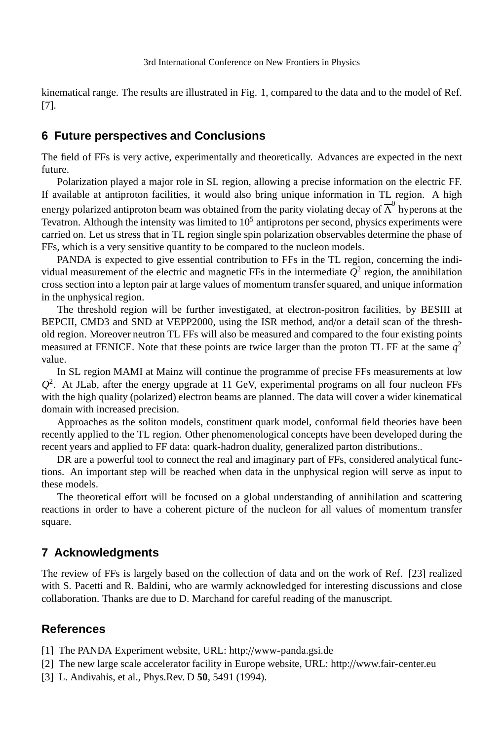kinematical range. The results are illustrated in Fig. 1, compared to the data and to the model of Ref. [7].

## **6 Future perspectives and Conclusions**

The field of FFs is very active, experimentally and theoretically. Advances are expected in the next future.

Polarization played a major role in SL region, allowing a precise information on the electric FF. If available at antiproton facilities, it would also bring unique information in TL region. A high energy polarized antiproton beam was obtained from the parity violating decay of  $\overline{\Lambda}^0$  hyperons at the Tevatron. Although the intensity was limited to 10<sup>5</sup> antiprotons per second, physics experiments were carried on. Let us stress that in TL region single spin polarization observables determine the phase of FFs, which is a very sensitive quantity to be compared to the nucleon models.

PANDA is expected to give essential contribution to FFs in the TL region, concerning the individual measurement of the electric and magnetic FFs in the intermediate  $Q^2$  region, the annihilation cross section into a lepton pair at large values of momentum transfer squared, and unique information in the unphysical region.

The threshold region will be further investigated, at electron-positron facilities, by BESIII at BEPCII, CMD3 and SND at VEPP2000, using the ISR method, and/or a detail scan of the threshold region. Moreover neutron TL FFs will also be measured and compared to the four existing points measured at FENICE. Note that these points are twice larger than the proton TL FF at the same  $q^2$ value.

In SL region MAMI at Mainz will continue the programme of precise FFs measurements at low  $Q<sup>2</sup>$ . At JLab, after the energy upgrade at 11 GeV, experimental programs on all four nucleon FFs with the high quality (polarized) electron beams are planned. The data will cover a wider kinematical domain with increased precision.

Approaches as the soliton models, constituent quark model, conformal field theories have been recently applied to the TL region. Other phenomenological concepts have been developed during the recent years and applied to FF data: quark-hadron duality, generalized parton distributions..

DR are a powerful tool to connect the real and imaginary part of FFs, considered analytical functions. An important step will be reached when data in the unphysical region will serve as input to these models.

The theoretical effort will be focused on a global understanding of annihilation and scattering reactions in order to have a coherent picture of the nucleon for all values of momentum transfer square.

### **7 Acknowledgments**

The review of FFs is largely based on the collection of data and on the work of Ref. [23] realized with S. Pacetti and R. Baldini, who are warmly acknowledged for interesting discussions and close collaboration. Thanks are due to D. Marchand for careful reading of the manuscript.

## **References**

[1] The PANDA Experiment website, URL: http://www-panda.gsi.de

[2] The new large scale accelerator facility in Europe website, URL: http://www.fair-center.eu

[3] L. Andivahis, et al., Phys.Rev. D **50**, 5491 (1994).